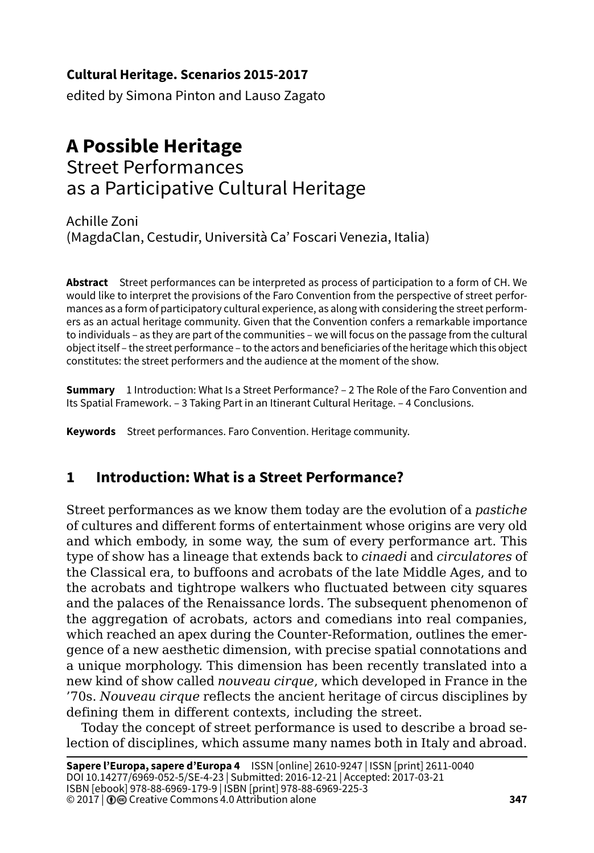#### **Cultural Heritage. Scenarios 2015-2017**

edited by Simona Pinton and Lauso Zagato

# **A Possible Heritage**

# Street Performances as a Participative Cultural Heritage

Achille Zoni (MagdaClan, Cestudir, Università Ca' Foscari Venezia, Italia)

**Abstract** Street performances can be interpreted as process of participation to a form of CH. We would like to interpret the provisions of the Faro Convention from the perspective of street performances as a form of participatory cultural experience, as along with considering the street performers as an actual heritage community. Given that the Convention confers a remarkable importance to individuals – as they are part of the communities – we will focus on the passage from the cultural object itself – the street performance – to the actors and beneficiaries of the heritage which this object constitutes: the street performers and the audience at the moment of the show.

**Summary** 1 Introduction: What Is a Street Performance? - 2 The Role of the Faro Convention and Its Spatial Framework. – 3 Taking Part in an Itinerant Cultural Heritage. – 4 Conclusions.

**Keywords** Street performances. Faro Convention. Heritage community.

#### **1 Introduction: What is a Street Performance?**

Street performances as we know them today are the evolution of a *pastiche* of cultures and different forms of entertainment whose origins are very old and which embody, in some way, the sum of every performance art. This type of show has a lineage that extends back to *cinaedi* and *circulatores* of the Classical era, to buffoons and acrobats of the late Middle Ages, and to the acrobats and tightrope walkers who fluctuated between city squares and the palaces of the Renaissance lords. The subsequent phenomenon of the aggregation of acrobats, actors and comedians into real companies, which reached an apex during the Counter-Reformation, outlines the emergence of a new aesthetic dimension, with precise spatial connotations and a unique morphology. This dimension has been recently translated into a new kind of show called *nouveau cirque*, which developed in France in the '70s. *Nouveau cirque* reflects the ancient heritage of circus disciplines by defining them in different contexts, including the street.

Today the concept of street performance is used to describe a broad selection of disciplines, which assume many names both in Italy and abroad.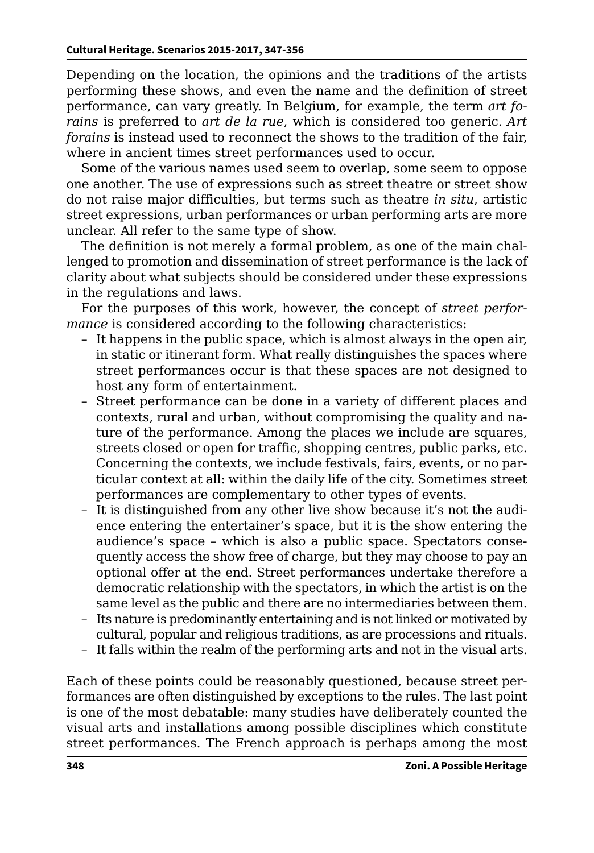Depending on the location, the opinions and the traditions of the artists performing these shows, and even the name and the definition of street performance, can vary greatly. In Belgium, for example, the term *art forains* is preferred to *art de la rue*, which is considered too generic. *Art forains* is instead used to reconnect the shows to the tradition of the fair, where in ancient times street performances used to occur.

Some of the various names used seem to overlap, some seem to oppose one another. The use of expressions such as street theatre or street show do not raise major difficulties, but terms such as theatre *in situ*, artistic street expressions, urban performances or urban performing arts are more unclear. All refer to the same type of show.

The definition is not merely a formal problem, as one of the main challenged to promotion and dissemination of street performance is the lack of clarity about what subjects should be considered under these expressions in the regulations and laws.

For the purposes of this work, however, the concept of *street performance* is considered according to the following characteristics:

- It happens in the public space, which is almost always in the open air, in static or itinerant form. What really distinguishes the spaces where street performances occur is that these spaces are not designed to host any form of entertainment.
- Street performance can be done in a variety of different places and contexts, rural and urban, without compromising the quality and nature of the performance. Among the places we include are squares, streets closed or open for traffic, shopping centres, public parks, etc. Concerning the contexts, we include festivals, fairs, events, or no particular context at all: within the daily life of the city. Sometimes street performances are complementary to other types of events.
- It is distinguished from any other live show because it's not the audience entering the entertainer's space, but it is the show entering the audience's space – which is also a public space. Spectators consequently access the show free of charge, but they may choose to pay an optional offer at the end. Street performances undertake therefore a democratic relationship with the spectators, in which the artist is on the same level as the public and there are no intermediaries between them.
- Its nature is predominantly entertaining and is not linked or motivated by cultural, popular and religious traditions, as are processions and rituals.
- It falls within the realm of the performing arts and not in the visual arts.

Each of these points could be reasonably questioned, because street performances are often distinguished by exceptions to the rules. The last point is one of the most debatable: many studies have deliberately counted the visual arts and installations among possible disciplines which constitute street performances. The French approach is perhaps among the most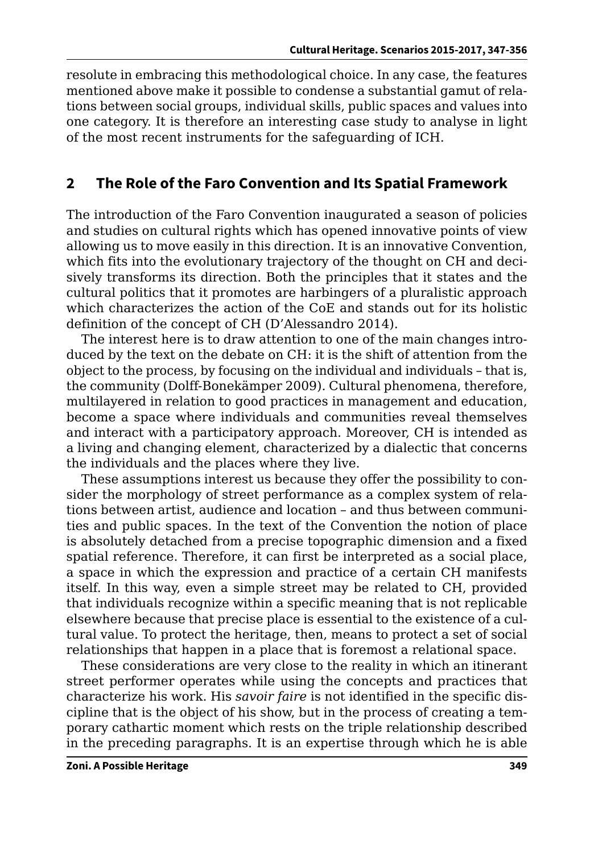resolute in embracing this methodological choice. In any case, the features mentioned above make it possible to condense a substantial gamut of relations between social groups, individual skills, public spaces and values into one category. It is therefore an interesting case study to analyse in light of the most recent instruments for the safeguarding of ICH.

#### **2 The Role of the Faro Convention and Its Spatial Framework**

The introduction of the Faro Convention inaugurated a season of policies and studies on cultural rights which has opened innovative points of view allowing us to move easily in this direction. It is an innovative Convention, which fits into the evolutionary trajectory of the thought on CH and decisively transforms its direction. Both the principles that it states and the cultural politics that it promotes are harbingers of a pluralistic approach which characterizes the action of the CoE and stands out for its holistic definition of the concept of CH (D'Alessandro 2014).

The interest here is to draw attention to one of the main changes introduced by the text on the debate on CH: it is the shift of attention from the object to the process, by focusing on the individual and individuals – that is, the community (Dolff-Bonekämper 2009). Cultural phenomena, therefore, multilayered in relation to good practices in management and education, become a space where individuals and communities reveal themselves and interact with a participatory approach. Moreover, CH is intended as a living and changing element, characterized by a dialectic that concerns the individuals and the places where they live.

These assumptions interest us because they offer the possibility to consider the morphology of street performance as a complex system of relations between artist, audience and location – and thus between communities and public spaces. In the text of the Convention the notion of place is absolutely detached from a precise topographic dimension and a fixed spatial reference. Therefore, it can first be interpreted as a social place, a space in which the expression and practice of a certain CH manifests itself. In this way, even a simple street may be related to CH, provided that individuals recognize within a specific meaning that is not replicable elsewhere because that precise place is essential to the existence of a cultural value. To protect the heritage, then, means to protect a set of social relationships that happen in a place that is foremost a relational space.

These considerations are very close to the reality in which an itinerant street performer operates while using the concepts and practices that characterize his work. His *savoir faire* is not identified in the specific discipline that is the object of his show, but in the process of creating a temporary cathartic moment which rests on the triple relationship described in the preceding paragraphs. It is an expertise through which he is able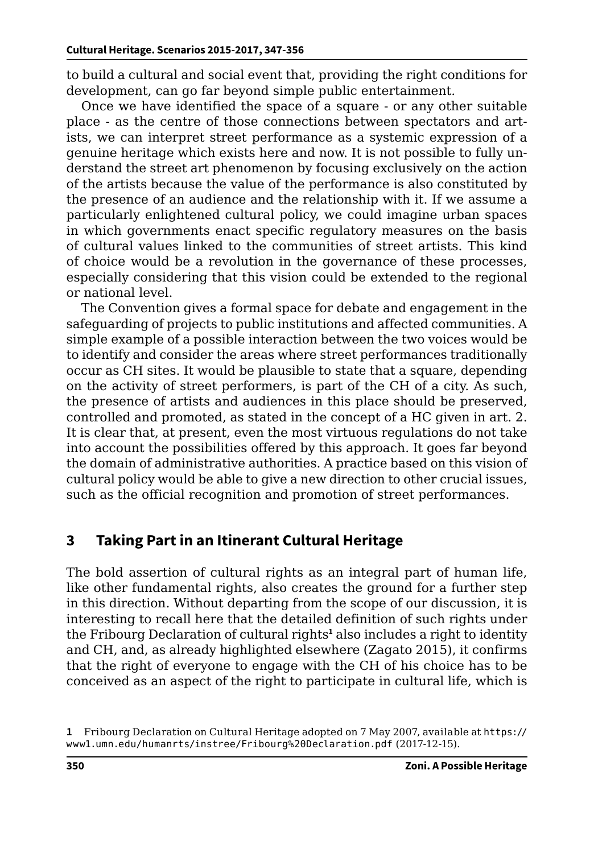to build a cultural and social event that, providing the right conditions for development, can go far beyond simple public entertainment.

Once we have identified the space of a square - or any other suitable place - as the centre of those connections between spectators and artists, we can interpret street performance as a systemic expression of a genuine heritage which exists here and now. It is not possible to fully understand the street art phenomenon by focusing exclusively on the action of the artists because the value of the performance is also constituted by the presence of an audience and the relationship with it. If we assume a particularly enlightened cultural policy, we could imagine urban spaces in which governments enact specific regulatory measures on the basis of cultural values linked to the communities of street artists. This kind of choice would be a revolution in the governance of these processes, especially considering that this vision could be extended to the regional or national level.

The Convention gives a formal space for debate and engagement in the safeguarding of projects to public institutions and affected communities. A simple example of a possible interaction between the two voices would be to identify and consider the areas where street performances traditionally occur as CH sites. It would be plausible to state that a square, depending on the activity of street performers, is part of the CH of a city. As such, the presence of artists and audiences in this place should be preserved, controlled and promoted, as stated in the concept of a HC given in art. 2. It is clear that, at present, even the most virtuous regulations do not take into account the possibilities offered by this approach. It goes far beyond the domain of administrative authorities. A practice based on this vision of cultural policy would be able to give a new direction to other crucial issues, such as the official recognition and promotion of street performances.

## **3 Taking Part in an Itinerant Cultural Heritage**

The bold assertion of cultural rights as an integral part of human life, like other fundamental rights, also creates the ground for a further step in this direction. Without departing from the scope of our discussion, it is interesting to recall here that the detailed definition of such rights under the Fribourg Declaration of cultural rights**<sup>1</sup>** also includes a right to identity and CH, and, as already highlighted elsewhere (Zagato 2015), it confirms that the right of everyone to engage with the CH of his choice has to be conceived as an aspect of the right to participate in cultural life, which is

**<sup>1</sup>** Fribourg Declaration on Cultural Heritage adopted on 7 May 2007, available at [https://](https://www1.umn.edu/humanrts/instree/Fribourg%20Declaration.pdf) [www1.umn.edu/humanrts/instree/Fribourg%20Declaration.pdf](https://www1.umn.edu/humanrts/instree/Fribourg%20Declaration.pdf) (2017-12-15).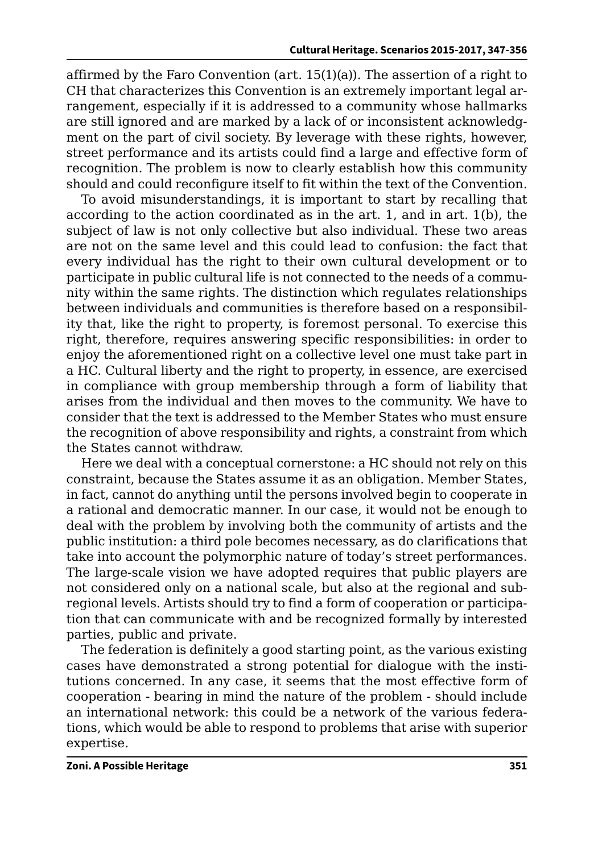affirmed by the Faro Convention (art. 15(1)(a)). The assertion of a right to CH that characterizes this Convention is an extremely important legal arrangement, especially if it is addressed to a community whose hallmarks are still ignored and are marked by a lack of or inconsistent acknowledgment on the part of civil society. By leverage with these rights, however, street performance and its artists could find a large and effective form of recognition. The problem is now to clearly establish how this community should and could reconfigure itself to fit within the text of the Convention.

To avoid misunderstandings, it is important to start by recalling that according to the action coordinated as in the art. 1, and in art. 1(b), the subject of law is not only collective but also individual. These two areas are not on the same level and this could lead to confusion: the fact that every individual has the right to their own cultural development or to participate in public cultural life is not connected to the needs of a community within the same rights. The distinction which regulates relationships between individuals and communities is therefore based on a responsibility that, like the right to property, is foremost personal. To exercise this right, therefore, requires answering specific responsibilities: in order to enjoy the aforementioned right on a collective level one must take part in a HC. Cultural liberty and the right to property, in essence, are exercised in compliance with group membership through a form of liability that arises from the individual and then moves to the community. We have to consider that the text is addressed to the Member States who must ensure the recognition of above responsibility and rights, a constraint from which the States cannot withdraw.

Here we deal with a conceptual cornerstone: a HC should not rely on this constraint, because the States assume it as an obligation. Member States, in fact, cannot do anything until the persons involved begin to cooperate in a rational and democratic manner. In our case, it would not be enough to deal with the problem by involving both the community of artists and the public institution: a third pole becomes necessary, as do clarifications that take into account the polymorphic nature of today's street performances. The large-scale vision we have adopted requires that public players are not considered only on a national scale, but also at the regional and subregional levels. Artists should try to find a form of cooperation or participation that can communicate with and be recognized formally by interested parties, public and private.

The federation is definitely a good starting point, as the various existing cases have demonstrated a strong potential for dialogue with the institutions concerned. In any case, it seems that the most effective form of cooperation - bearing in mind the nature of the problem - should include an international network: this could be a network of the various federations, which would be able to respond to problems that arise with superior expertise.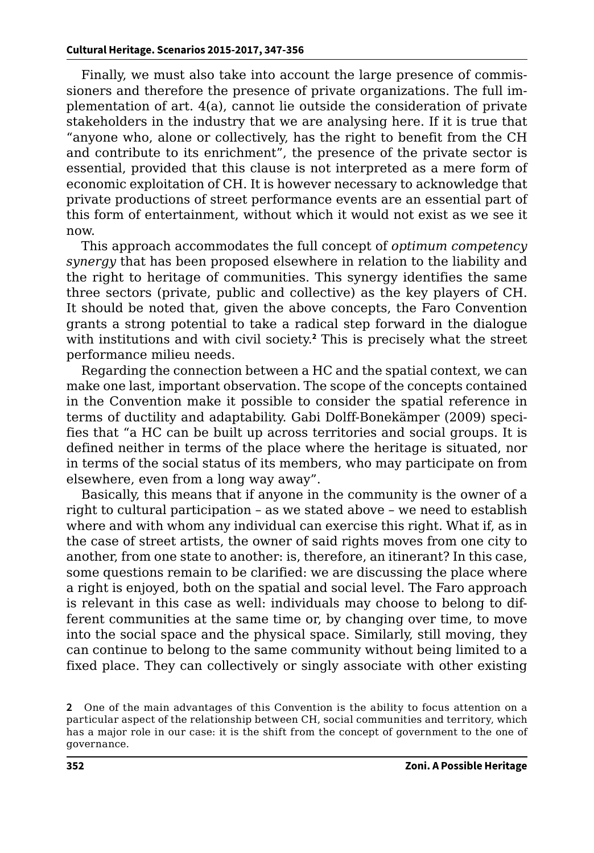Finally, we must also take into account the large presence of commissioners and therefore the presence of private organizations. The full implementation of art. 4(a), cannot lie outside the consideration of private stakeholders in the industry that we are analysing here. If it is true that "anyone who, alone or collectively, has the right to benefit from the CH and contribute to its enrichment", the presence of the private sector is essential, provided that this clause is not interpreted as a mere form of economic exploitation of CH. It is however necessary to acknowledge that private productions of street performance events are an essential part of this form of entertainment, without which it would not exist as we see it now.

This approach accommodates the full concept of *optimum competency synergy* that has been proposed elsewhere in relation to the liability and the right to heritage of communities. This synergy identifies the same three sectors (private, public and collective) as the key players of CH. It should be noted that, given the above concepts, the Faro Convention grants a strong potential to take a radical step forward in the dialogue with institutions and with civil society.**<sup>2</sup>** This is precisely what the street performance milieu needs.

Regarding the connection between a HC and the spatial context, we can make one last, important observation. The scope of the concepts contained in the Convention make it possible to consider the spatial reference in terms of ductility and adaptability. Gabi Dolff-Bonekämper (2009) specifies that "a HC can be built up across territories and social groups. It is defined neither in terms of the place where the heritage is situated, nor in terms of the social status of its members, who may participate on from elsewhere, even from a long way away".

Basically, this means that if anyone in the community is the owner of a right to cultural participation – as we stated above – we need to establish where and with whom any individual can exercise this right. What if, as in the case of street artists, the owner of said rights moves from one city to another, from one state to another: is, therefore, an itinerant? In this case, some questions remain to be clarified: we are discussing the place where a right is enjoyed, both on the spatial and social level. The Faro approach is relevant in this case as well: individuals may choose to belong to different communities at the same time or, by changing over time, to move into the social space and the physical space. Similarly, still moving, they can continue to belong to the same community without being limited to a fixed place. They can collectively or singly associate with other existing

**<sup>2</sup>** One of the main advantages of this Convention is the ability to focus attention on a particular aspect of the relationship between CH, social communities and territory, which has a major role in our case: it is the shift from the concept of government to the one of governance.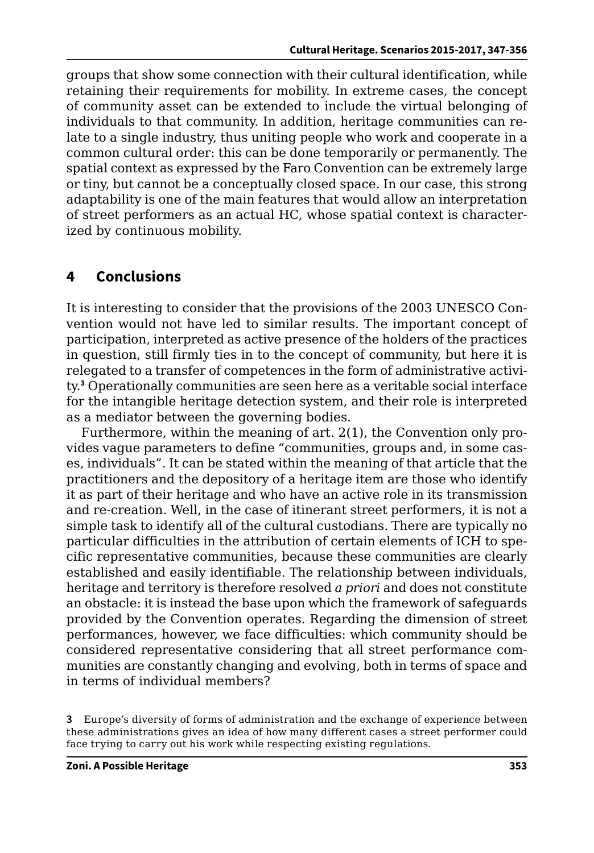groups that show some connection with their cultural identification, while retaining their requirements for mobility. In extreme cases, the concept of community asset can be extended to include the virtual belonging of individuals to that community. In addition, heritage communities can relate to a single industry, thus uniting people who work and cooperate in a common cultural order: this can be done temporarily or permanently. The spatial context as expressed by the Faro Convention can be extremely large or tiny, but cannot be a conceptually closed space. In our case, this strong adaptability is one of the main features that would allow an interpretation of street performers as an actual HC, whose spatial context is characterized by continuous mobility.

### **4 Conclusions**

It is interesting to consider that the provisions of the 2003 UNESCO Convention would not have led to similar results. The important concept of participation, interpreted as active presence of the holders of the practices in question, still firmly ties in to the concept of community, but here it is relegated to a transfer of competences in the form of administrative activity.**<sup>3</sup>** Operationally communities are seen here as a veritable social interface for the intangible heritage detection system, and their role is interpreted as a mediator between the governing bodies.

Furthermore, within the meaning of art. 2(1), the Convention only provides vague parameters to define "communities, groups and, in some cases, individuals". It can be stated within the meaning of that article that the practitioners and the depository of a heritage item are those who identify it as part of their heritage and who have an active role in its transmission and re-creation. Well, in the case of itinerant street performers, it is not a simple task to identify all of the cultural custodians. There are typically no particular difficulties in the attribution of certain elements of ICH to specific representative communities, because these communities are clearly established and easily identifiable. The relationship between individuals, heritage and territory is therefore resolved *a priori* and does not constitute an obstacle: it is instead the base upon which the framework of safeguards provided by the Convention operates. Regarding the dimension of street performances, however, we face difficulties: which community should be considered representative considering that all street performance communities are constantly changing and evolving, both in terms of space and in terms of individual members?

**<sup>3</sup>** Europe's diversity of forms of administration and the exchange of experience between these administrations gives an idea of how many different cases a street performer could face trying to carry out his work while respecting existing regulations.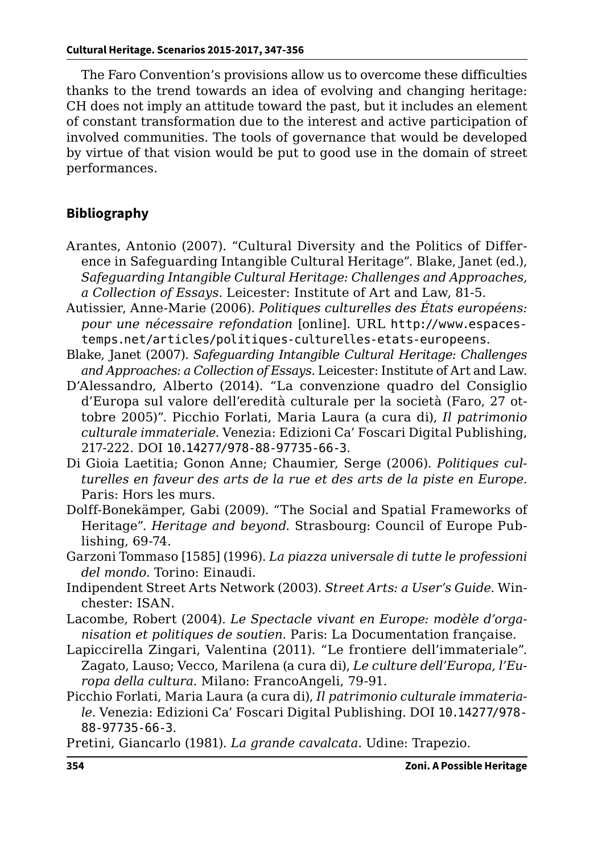The Faro Convention's provisions allow us to overcome these difficulties thanks to the trend towards an idea of evolving and changing heritage: CH does not imply an attitude toward the past, but it includes an element of constant transformation due to the interest and active participation of involved communities. The tools of governance that would be developed by virtue of that vision would be put to good use in the domain of street performances.

#### **Bibliography**

- Arantes, Antonio (2007). "Cultural Diversity and the Politics of Difference in Safeguarding Intangible Cultural Heritage". Blake, Janet (ed.), *Safeguarding Intangible Cultural Heritage: Challenges and Approaches, a Collection of Essays*. Leicester: Institute of Art and Law, 81-5.
- Autissier, Anne-Marie (2006). *Politiques culturelles des États européens: pour une nécessaire refondation* [online]. URL [http://www.espaces](http://www.espacestemps.net/articles/politiques-culturelles-etats-europeens)[temps.net/articles/politiques-culturelles-etats-europeens](http://www.espacestemps.net/articles/politiques-culturelles-etats-europeens).
- Blake, Janet (2007). *Safeguarding Intangible Cultural Heritage: Challenges and Approaches: a Collection of Essays*. Leicester: Institute of Art and Law.
- D'Alessandro, Alberto (2014). "La convenzione quadro del Consiglio d'Europa sul valore dell'eredità culturale per la società (Faro, 27 ottobre 2005)". Picchio Forlati, Maria Laura (a cura di), *Il patrimonio culturale immateriale*. Venezia: Edizioni Ca' Foscari Digital Publishing, 217-222. DOI [10.14277/978-88-97735-66-3](http://doi.org/10.14277/978-88-97735-66-3).
- Di Gioia Laetitia; Gonon Anne; Chaumier, Serge (2006). *Politiques culturelles en faveur des arts de la rue et des arts de la piste en Europe*. Paris: Hors les murs.
- Dolff-Bonekämper, Gabi (2009). "The Social and Spatial Frameworks of Heritage". *Heritage and beyond*. Strasbourg: Council of Europe Publishing, 69-74.
- Garzoni Tommaso [1585] (1996). *La piazza universale di tutte le professioni del mondo*. Torino: Einaudi.
- Indipendent Street Arts Network (2003). *Street Arts: a User's Guide*. Winchester: ISAN.
- Lacombe, Robert (2004). *Le Spectacle vivant en Europe: modèle d'organisation et politiques de soutien*. Paris: La Documentation française.
- Lapiccirella Zingari, Valentina (2011). "Le frontiere dell'immateriale". Zagato, Lauso; Vecco, Marilena (a cura di), *Le culture dell'Europa, l'Europa della cultura*. Milano: FrancoAngeli, 79-91.
- Picchio Forlati, Maria Laura (a cura di), *Il patrimonio culturale immateriale*. Venezia: Edizioni Ca' Foscari Digital Publishing. DOI [10.14277/978-](http://doi.org/10.14277/978-88-97735-66-3) [88-97735-66-3](http://doi.org/10.14277/978-88-97735-66-3).

Pretini, Giancarlo (1981). *La grande cavalcata*. Udine: Trapezio.